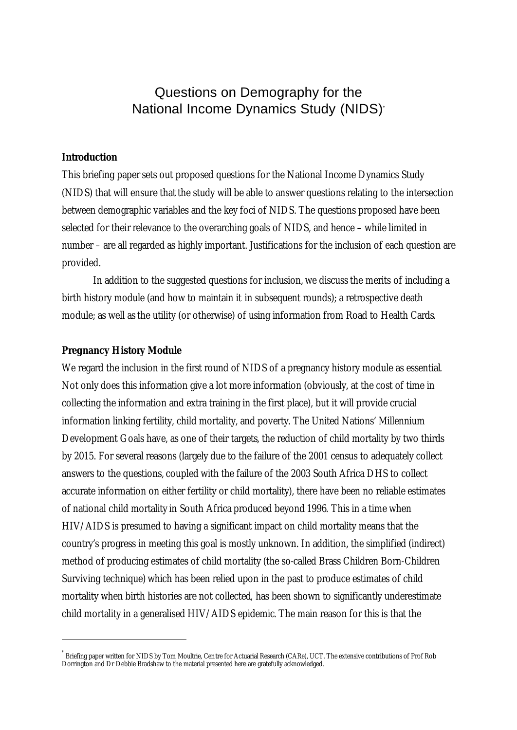Questions on Demography for the National Income Dynamics Study (NIDS)\*

# **Introduction**

This briefing paper sets out proposed questions for the National Income Dynamics Study (NIDS) that will ensure that the study will be able to answer questions relating to the intersection between demographic variables and the key foci of NIDS. The questions proposed have been selected for their relevance to the overarching goals of NIDS, and hence – while limited in number – are all regarded as highly important. Justifications for the inclusion of each question are provided.

In addition to the suggested questions for inclusion, we discuss the merits of including a birth history module (and how to maintain it in subsequent rounds); a retrospective death module; as well as the utility (or otherwise) of using information from Road to Health Cards.

#### **Pregnancy History Module**

 $\overline{a}$ 

We regard the inclusion in the first round of NIDS of a pregnancy history module as essential. Not only does this information give a lot more information (obviously, at the cost of time in collecting the information and extra training in the first place), but it will provide crucial information linking fertility, child mortality, and poverty. The United Nations' Millennium Development Goals have, as one of their targets, the reduction of child mortality by two thirds by 2015. For several reasons (largely due to the failure of the 2001 census to adequately collect answers to the questions, coupled with the failure of the 2003 South Africa DHS to collect accurate information on either fertility or child mortality), there have been no reliable estimates of national child mortality in South Africa produced beyond 1996. This in a time when HIV/AIDS is presumed to having a significant impact on child mortality means that the country's progress in meeting this goal is mostly unknown. In addition, the simplified (indirect) method of producing estimates of child mortality (the so-called Brass Children Born-Children Surviving technique) which has been relied upon in the past to produce estimates of child mortality when birth histories are not collected, has been shown to significantly underestimate child mortality in a generalised HIV/AIDS epidemic. The main reason for this is that the

<sup>\*</sup> Briefing paper written for NIDS by Tom Moultrie, Centre for Actuarial Research (CARe), UCT. The extensive contributions of Prof Rob Dorrington and Dr Debbie Bradshaw to the material presented here are gratefully acknowledged.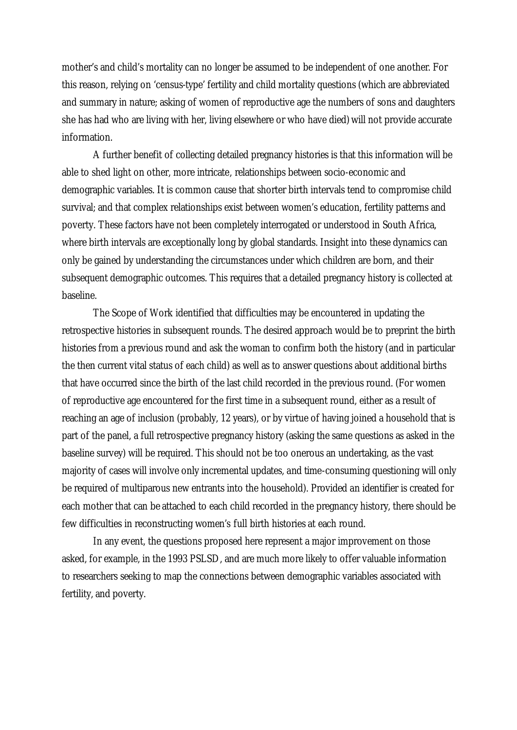mother's and child's mortality can no longer be assumed to be independent of one another. For this reason, relying on 'census-type' fertility and child mortality questions (which are abbreviated and summary in nature; asking of women of reproductive age the numbers of sons and daughters she has had who are living with her, living elsewhere or who have died) will not provide accurate information.

A further benefit of collecting detailed pregnancy histories is that this information will be able to shed light on other, more intricate, relationships between socio-economic and demographic variables. It is common cause that shorter birth intervals tend to compromise child survival; and that complex relationships exist between women's education, fertility patterns and poverty. These factors have not been completely interrogated or understood in South Africa, where birth intervals are exceptionally long by global standards. Insight into these dynamics can only be gained by understanding the circumstances under which children are born, and their subsequent demographic outcomes. This requires that a detailed pregnancy history is collected at baseline.

The Scope of Work identified that difficulties may be encountered in updating the retrospective histories in subsequent rounds. The desired approach would be to preprint the birth histories from a previous round and ask the woman to confirm both the history (and in particular the then current vital status of each child) as well as to answer questions about additional births that have occurred since the birth of the last child recorded in the previous round. (For women of reproductive age encountered for the first time in a subsequent round, either as a result of reaching an age of inclusion (probably, 12 years), or by virtue of having joined a household that is part of the panel, a full retrospective pregnancy history (asking the same questions as asked in the baseline survey) will be required. This should not be too onerous an undertaking, as the vast majority of cases will involve only incremental updates, and time-consuming questioning will only be required of multiparous new entrants into the household). Provided an identifier is created for each mother that can be attached to each child recorded in the pregnancy history, there should be few difficulties in reconstructing women's full birth histories at each round.

In any event, the questions proposed here represent a major improvement on those asked, for example, in the 1993 PSLSD, and are much more likely to offer valuable information to researchers seeking to map the connections between demographic variables associated with fertility, and poverty.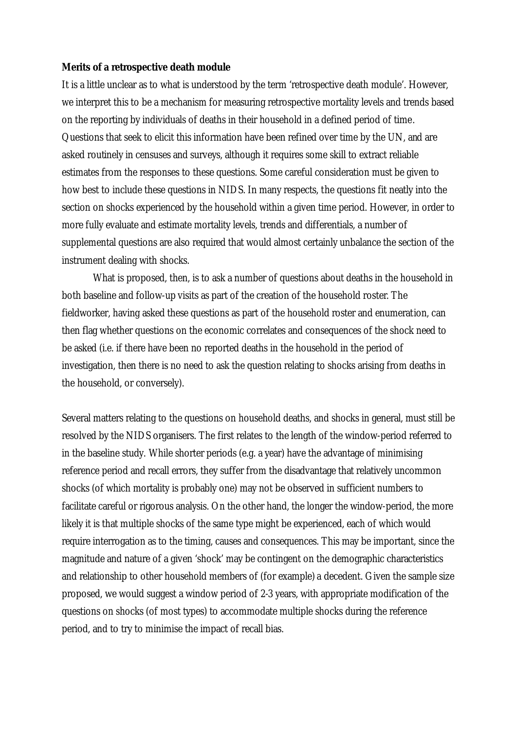#### **Merits of a retrospective death module**

It is a little unclear as to what is understood by the term 'retrospective death module'. However, we interpret this to be a mechanism for measuring retrospective mortality levels and trends based on the reporting by individuals of deaths in their household in a defined period of time. Questions that seek to elicit this information have been refined over time by the UN, and are asked routinely in censuses and surveys, although it requires some skill to extract reliable estimates from the responses to these questions. Some careful consideration must be given to how best to include these questions in NIDS. In many respects, the questions fit neatly into the section on shocks experienced by the household within a given time period. However, in order to more fully evaluate and estimate mortality levels, trends and differentials, a number of supplemental questions are also required that would almost certainly unbalance the section of the instrument dealing with shocks.

What is proposed, then, is to ask a number of questions about deaths in the household in both baseline and follow-up visits as part of the creation of the household roster. The fieldworker, having asked these questions as part of the household roster and enumeration, can then flag whether questions on the economic correlates and consequences of the shock need to be asked (i.e. if there have been no reported deaths in the household in the period of investigation, then there is no need to ask the question relating to shocks arising from deaths in the household, or conversely).

Several matters relating to the questions on household deaths, and shocks in general, must still be resolved by the NIDS organisers. The first relates to the length of the window-period referred to in the baseline study. While shorter periods (e.g. a year) have the advantage of minimising reference period and recall errors, they suffer from the disadvantage that relatively uncommon shocks (of which mortality is probably one) may not be observed in sufficient numbers to facilitate careful or rigorous analysis. On the other hand, the longer the window-period, the more likely it is that multiple shocks of the same type might be experienced, each of which would require interrogation as to the timing, causes and consequences. This may be important, since the magnitude and nature of a given 'shock' may be contingent on the demographic characteristics and relationship to other household members of (for example) a decedent. Given the sample size proposed, we would suggest a window period of 2-3 years, with appropriate modification of the questions on shocks (of most types) to accommodate multiple shocks during the reference period, and to try to minimise the impact of recall bias.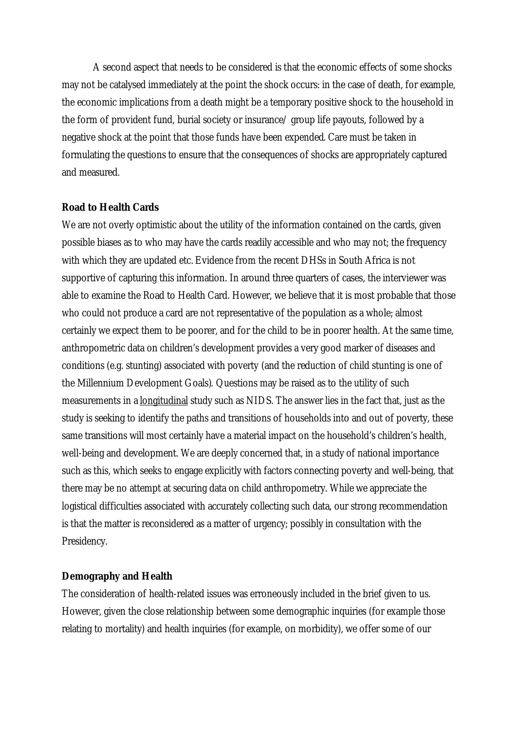A second aspect that needs to be considered is that the economic effects of some shocks may not be catalysed immediately at the point the shock occurs: in the case of death, for example, the economic implications from a death might be a temporary positive shock to the household in the form of provident fund, burial society or insurance/ group life payouts, followed by a negative shock at the point that those funds have been expended. Care must be taken in formulating the questions to ensure that the consequences of shocks are appropriately captured and measured.

# **Road to Health Cards**

We are not overly optimistic about the utility of the information contained on the cards, given possible biases as to who may have the cards readily accessible and who may not; the frequency with which they are updated etc. Evidence from the recent DHSs in South Africa is not supportive of capturing this information. In around three quarters of cases, the interviewer was able to examine the Road to Health Card. However, we believe that it is most probable that those who could not produce a card are not representative of the population as a whole; almost certainly we expect them to be poorer, and for the child to be in poorer health. At the same time, anthropometric data on children's development provides a very good marker of diseases and conditions (e.g. stunting) associated with poverty (and the reduction of child stunting is one of the Millennium Development Goals). Questions may be raised as to the utility of such measurements in a longitudinal study such as NIDS. The answer lies in the fact that, just as the study is seeking to identify the paths and transitions of households into and out of poverty, these same transitions will most certainly have a material impact on the household's children's health, well-being and development. We are deeply concerned that, in a study of national importance such as this, which seeks to engage explicitly with factors connecting poverty and well-being, that there may be no attempt at securing data on child anthropometry. While we appreciate the logistical difficulties associated with accurately collecting such data, our strong recommendation is that the matter is reconsidered as a matter of urgency; possibly in consultation with the Presidency.

# **Demography and Health**

The consideration of health-related issues was erroneously included in the brief given to us. However, given the close relationship between some demographic inquiries (for example those relating to mortality) and health inquiries (for example, on morbidity), we offer some of our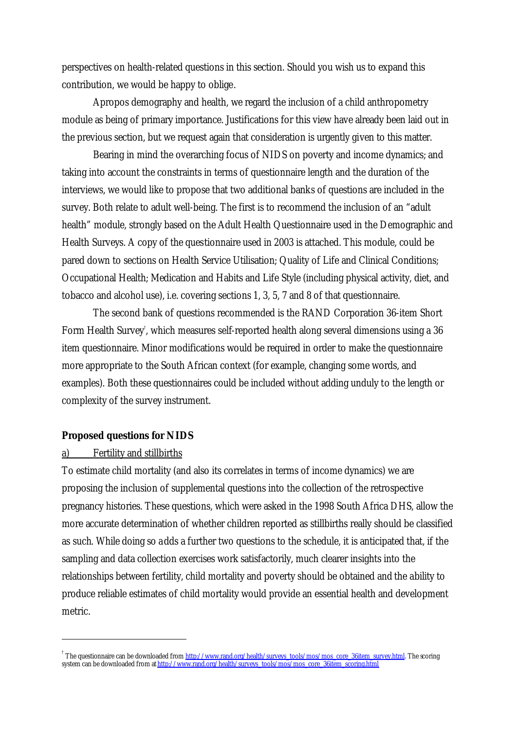perspectives on health-related questions in this section. Should you wish us to expand this contribution, we would be happy to oblige.

Apropos demography and health, we regard the inclusion of a child anthropometry module as being of primary importance. Justifications for this view have already been laid out in the previous section, but we request again that consideration is urgently given to this matter.

Bearing in mind the overarching focus of NIDS on poverty and income dynamics; and taking into account the constraints in terms of questionnaire length and the duration of the interviews, we would like to propose that two additional banks of questions are included in the survey. Both relate to adult well-being. The first is to recommend the inclusion of an "adult health" module, strongly based on the Adult Health Questionnaire used in the Demographic and Health Surveys. A copy of the questionnaire used in 2003 is attached. This module, could be pared down to sections on Health Service Utilisation; Quality of Life and Clinical Conditions; Occupational Health; Medication and Habits and Life Style (including physical activity, diet, and tobacco and alcohol use), i.e. covering sections 1, 3, 5, 7 and 8 of that questionnaire.

The second bank of questions recommended is the RAND Corporation 36-item Short Form Health Survey† , which measures self-reported health along several dimensions using a 36 item questionnaire. Minor modifications would be required in order to make the questionnaire more appropriate to the South African context (for example, changing some words, and examples). Both these questionnaires could be included without adding unduly to the length or complexity of the survey instrument.

#### **Proposed questions for NIDS**

# a) Fertility and stillbirths

 $\overline{a}$ 

To estimate child mortality (and also its correlates in terms of income dynamics) we are proposing the inclusion of supplemental questions into the collection of the retrospective pregnancy histories. These questions, which were asked in the 1998 South Africa DHS, allow the more accurate determination of whether children reported as stillbirths really should be classified as such. While doing so adds a further two questions to the schedule, it is anticipated that, if the sampling and data collection exercises work satisfactorily, much clearer insights into the relationships between fertility, child mortality and poverty should be obtained and the ability to produce reliable estimates of child mortality would provide an essential health and development metric.

<sup>&</sup>lt;sup>†</sup> The questionnaire can be downloaded from <u>http://www.rand.org/health/surveys\_tools/mos/mos\_core\_36item\_survey.html</u>. The scoring system can be downloaded from at <u>http://www.rand.org/health/surveys\_tools/mos/mos\_core\_36item\_scoring.html</u>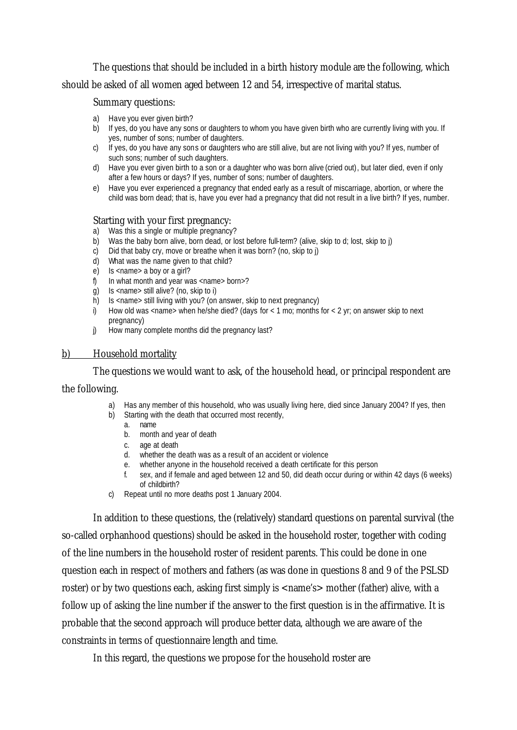The questions that should be included in a birth history module are the following, which should be asked of all women aged between 12 and 54, irrespective of marital status.

### Summary questions:

- a) Have you ever given birth?
- b) If yes, do you have any sons or daughters to whom you have given birth who are currently living with you. If yes, number of sons; number of daughters.
- c) If yes, do you have any sons or daughters who are still alive, but are not living with you? If yes, number of such sons; number of such daughters.
- d) Have you ever given birth to a son or a daughter who was born alive (cried out), but later died, even if only after a few hours or days? If yes, number of sons; number of daughters.
- e) Have you ever experienced a pregnancy that ended early as a result of miscarriage, abortion, or where the child was born dead; that is, have you ever had a pregnancy that did not result in a live birth? If yes, number.

### Starting with your first pregnancy:

- a) Was this a single or multiple pregnancy?
- b) Was the baby born alive, born dead, or lost before full-term? (alive, skip to d; lost, skip to j)
- c) Did that baby cry, move or breathe when it was born? (no, skip to j)
- d) What was the name given to that child?
- $\overrightarrow{e}$  Is <name> a boy or a girl?
- f) In what month and year was <name> born>?
- $\overline{g}$ ) Is <name> still alive? (no, skip to i)
- $\overrightarrow{h}$  Is <name> still living with you? (on answer, skip to next pregnancy)
- i) How old was <name> when he/she died? (days for  $< 1$  mo; months for  $< 2$  yr; on answer skip to next pregnancy)
- j) How many complete months did the pregnancy last?

### b) Household mortality

The questions we would want to ask, of the household head, or principal respondent are the following.

- a) Has any member of this household, who was usually living here, died since January 2004? If yes, then
- b) Starting with the death that occurred most recently,
	- a. name
	- b. month and year of death
	- c. age at death
	- d. whether the death was as a result of an accident or violence
	- e. whether anyone in the household received a death certificate for this person
	- f. sex, and if female and aged between 12 and 50, did death occur during or within 42 days (6 weeks) of childbirth?
- c) Repeat until no more deaths post 1 January 2004.

In addition to these questions, the (relatively) standard questions on parental survival (the so-called orphanhood questions) should be asked in the household roster, together with coding of the line numbers in the household roster of resident parents. This could be done in one question each in respect of mothers and fathers (as was done in questions 8 and 9 of the PSLSD roster) or by two questions each, asking first simply is  $\langle$  -name's mother (father) alive, with a follow up of asking the line number if the answer to the first question is in the affirmative. It is probable that the second approach will produce better data, although we are aware of the constraints in terms of questionnaire length and time.

In this regard, the questions we propose for the household roster are